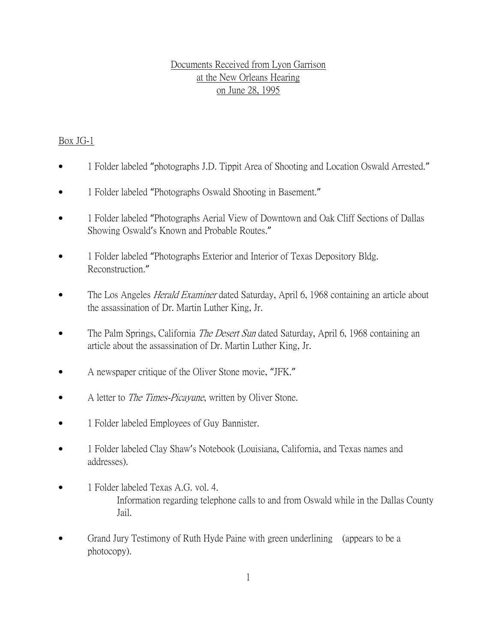#### Documents Received from Lyon Garrison at the New Orleans Hearing on June 28, 1995

#### Box JG-1

- 1 Folder labeled "photographs J.D. Tippit Area of Shooting and Location Oswald Arrested."
- 1 Folder labeled "Photographs Oswald Shooting in Basement."
- 1 Folder labeled "Photographs Aerial View of Downtown and Oak Cliff Sections of Dallas Showing Oswald's Known and Probable Routes."
- 1 Folder labeled "Photographs Exterior and Interior of Texas Depository Bldg. Reconstruction."
- The Los Angeles *Herald Examiner* dated Saturday, April 6, 1968 containing an article about the assassination of Dr. Martin Luther King, Jr.
- The Palm Springs, California *The Desert Sun* dated Saturday, April 6, 1968 containing an article about the assassination of Dr. Martin Luther King, Jr.
- A newspaper critique of the Oliver Stone movie, "JFK."
- A letter to The Times-Picayune, written by Oliver Stone.
- 1 Folder labeled Employees of Guy Bannister.
- 1 Folder labeled Clay Shaw's Notebook (Louisiana, California, and Texas names and addresses).
- 1 Folder labeled Texas A.G. vol. 4. Information regarding telephone calls to and from Oswald while in the Dallas County Jail.
- Grand Jury Testimony of Ruth Hyde Paine with green underlining (appears to be a photocopy).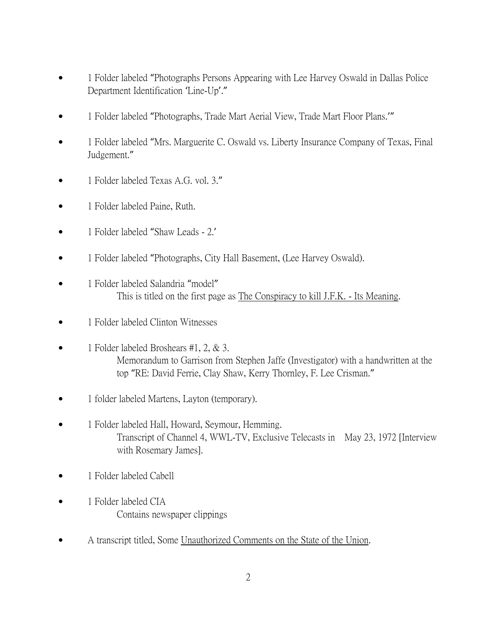- 1 Folder labeled "Photographs Persons Appearing with Lee Harvey Oswald in Dallas Police Department Identification 'Line-Up'."
- 1 Folder labeled "Photographs, Trade Mart Aerial View, Trade Mart Floor Plans."
- 1 Folder labeled "Mrs. Marguerite C. Oswald vs. Liberty Insurance Company of Texas, Final Judgement."
- 1 Folder labeled Texas A.G. vol. 3."
- 1 Folder labeled Paine, Ruth.
- 1 Folder labeled "Shaw Leads 2.'
- 1 Folder labeled "Photographs, City Hall Basement, (Lee Harvey Oswald).
- 1 Folder labeled Salandria "model" This is titled on the first page as The Conspiracy to kill J.F.K. - Its Meaning.
- 1 Folder labeled Clinton Witnesses
- 1 Folder labeled Broshears #1, 2, & 3. Memorandum to Garrison from Stephen Jaffe (Investigator) with a handwritten at the top "RE: David Ferrie, Clay Shaw, Kerry Thornley, F. Lee Crisman."
- 1 folder labeled Martens, Layton (temporary).
- 1 Folder labeled Hall, Howard, Seymour, Hemming. Transcript of Channel 4, WWL-TV, Exclusive Telecasts in May 23, 1972 [Interview with Rosemary James].
- 1 Folder labeled Cabell
- 1 Folder labeled CIA Contains newspaper clippings
- A transcript titled, Some Unauthorized Comments on the State of the Union.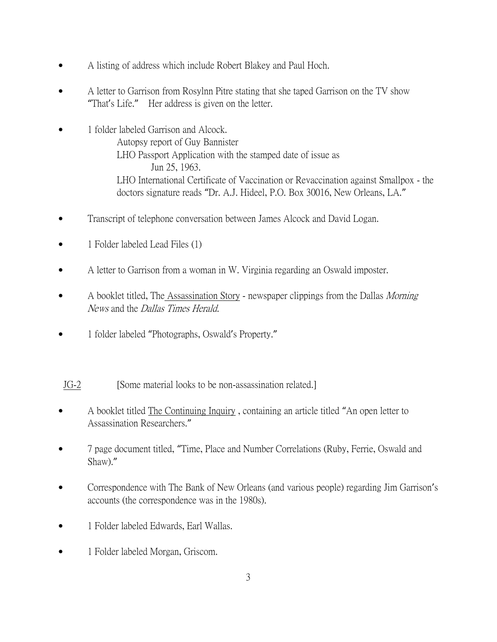- A listing of address which include Robert Blakey and Paul Hoch.
- A letter to Garrison from Rosylnn Pitre stating that she taped Garrison on the TV show "That's Life." Her address is given on the letter.
- 1 folder labeled Garrison and Alcock. Autopsy report of Guy Bannister LHO Passport Application with the stamped date of issue as Jun 25, 1963. LHO International Certificate of Vaccination or Revaccination against Smallpox - the doctors signature reads "Dr. A.J. Hideel, P.O. Box 30016, New Orleans, LA."
- Transcript of telephone conversation between James Alcock and David Logan.
- 1 Folder labeled Lead Files (1)
- A letter to Garrison from a woman in W. Virginia regarding an Oswald imposter.
- A booklet titled, The Assassination Story newspaper clippings from the Dallas Morning News and the Dallas Times Herald.
- 1 folder labeled "Photographs, Oswald's Property."
- JG-2 [Some material looks to be non-assassination related.]
- A booklet titled The Continuing Inquiry , containing an article titled "An open letter to Assassination Researchers."
- 7 page document titled, "Time, Place and Number Correlations (Ruby, Ferrie, Oswald and Shaw)."
- Correspondence with The Bank of New Orleans (and various people) regarding Jim Garrison's accounts (the correspondence was in the 1980s).
- 1 Folder labeled Edwards, Earl Wallas.
- 1 Folder labeled Morgan, Griscom.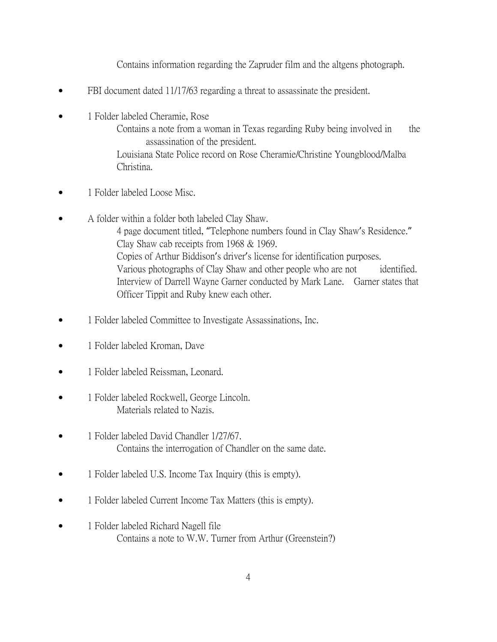Contains information regarding the Zapruder film and the altgens photograph.

- FBI document dated 11/17/63 regarding a threat to assassinate the president.
- 1 Folder labeled Cheramie, Rose

Contains a note from a woman in Texas regarding Ruby being involved in the assassination of the president.

Louisiana State Police record on Rose Cheramie/Christine Youngblood/Malba Christina.

- 1 Folder labeled Loose Misc.
- A folder within a folder both labeled Clay Shaw. 4 page document titled, "Telephone numbers found in Clay Shaw's Residence." Clay Shaw cab receipts from 1968 & 1969. Copies of Arthur Biddison's driver's license for identification purposes. Various photographs of Clay Shaw and other people who are not identified. Interview of Darrell Wayne Garner conducted by Mark Lane. Garner states that Officer Tippit and Ruby knew each other.
- 1 Folder labeled Committee to Investigate Assassinations, Inc.
- 1 Folder labeled Kroman, Dave
- 1 Folder labeled Reissman, Leonard.
- 1 Folder labeled Rockwell, George Lincoln. Materials related to Nazis.
- 1 Folder labeled David Chandler 1/27/67. Contains the interrogation of Chandler on the same date.
- 1 Folder labeled U.S. Income Tax Inquiry (this is empty).
- 1 Folder labeled Current Income Tax Matters (this is empty).
- 1 Folder labeled Richard Nagell file Contains a note to W.W. Turner from Arthur (Greenstein?)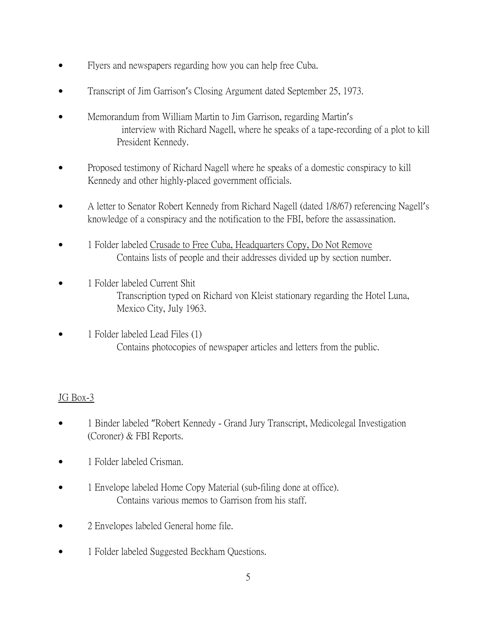- Flyers and newspapers regarding how you can help free Cuba.
- Transcript of Jim Garrison's Closing Argument dated September 25, 1973.
- Memorandum from William Martin to Jim Garrison, regarding Martin's interview with Richard Nagell, where he speaks of a tape-recording of a plot to kill President Kennedy.
- Proposed testimony of Richard Nagell where he speaks of a domestic conspiracy to kill Kennedy and other highly-placed government officials.
- A letter to Senator Robert Kennedy from Richard Nagell (dated 1/8/67) referencing Nagell's knowledge of a conspiracy and the notification to the FBI, before the assassination.
- 1 Folder labeled Crusade to Free Cuba, Headquarters Copy, Do Not Remove Contains lists of people and their addresses divided up by section number.
- 1 Folder labeled Current Shit Transcription typed on Richard von Kleist stationary regarding the Hotel Luna, Mexico City, July 1963.
- 1 Folder labeled Lead Files (1) Contains photocopies of newspaper articles and letters from the public.

# JG Box-3

- 1 Binder labeled "Robert Kennedy Grand Jury Transcript, Medicolegal Investigation (Coroner) & FBI Reports.
- 1 Folder labeled Crisman.
- 1 Envelope labeled Home Copy Material (sub-filing done at office). Contains various memos to Garrison from his staff.
- 2 Envelopes labeled General home file.
- 1 Folder labeled Suggested Beckham Questions.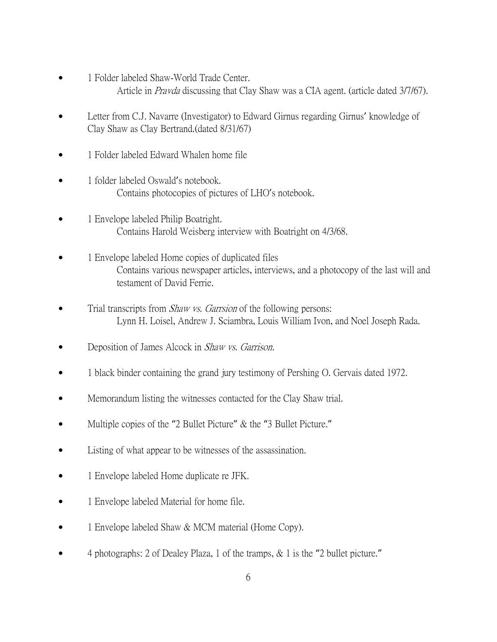- 1 Folder labeled Shaw-World Trade Center. Article in Pravda discussing that Clay Shaw was a CIA agent. (article dated 3/7/67).
- Letter from C.J. Navarre (Investigator) to Edward Girnus regarding Girnus' knowledge of Clay Shaw as Clay Bertrand.(dated 8/31/67)
- 1 Folder labeled Edward Whalen home file
- 1 folder labeled Oswald's notebook. Contains photocopies of pictures of LHO's notebook.
- 1 Envelope labeled Philip Boatright. Contains Harold Weisberg interview with Boatright on 4/3/68.
- 1 Envelope labeled Home copies of duplicated files Contains various newspaper articles, interviews, and a photocopy of the last will and testament of David Ferrie.
- Trial transcripts from *Shaw vs. Garrsion* of the following persons: Lynn H. Loisel, Andrew J. Sciambra, Louis William Ivon, and Noel Joseph Rada.
- Deposition of James Alcock in *Shaw vs. Garrison*.
- 1 black binder containing the grand jury testimony of Pershing O. Gervais dated 1972.
- Memorandum listing the witnesses contacted for the Clay Shaw trial.
- Multiple copies of the "2 Bullet Picture" & the "3 Bullet Picture."
- Listing of what appear to be witnesses of the assassination.
- 1 Envelope labeled Home duplicate re JFK.
- 1 Envelope labeled Material for home file.
- 1 Envelope labeled Shaw & MCM material (Home Copy).
- 4 photographs: 2 of Dealey Plaza, 1 of the tramps, & 1 is the "2 bullet picture."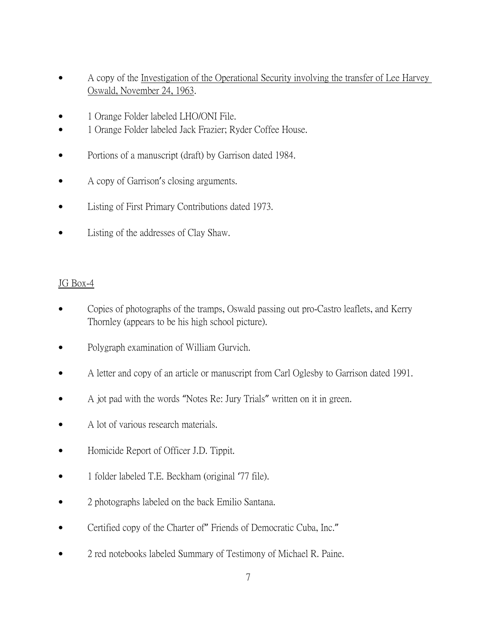- A copy of the Investigation of the Operational Security involving the transfer of Lee Harvey Oswald, November 24, 1963.
- 1 Orange Folder labeled LHO/ONI File.
- 1 Orange Folder labeled Jack Frazier; Ryder Coffee House.
- Portions of a manuscript (draft) by Garrison dated 1984.
- A copy of Garrison's closing arguments.
- Listing of First Primary Contributions dated 1973.
- Listing of the addresses of Clay Shaw.

#### JG Box-4

- Copies of photographs of the tramps, Oswald passing out pro-Castro leaflets, and Kerry Thornley (appears to be his high school picture).
- Polygraph examination of William Gurvich.
- A letter and copy of an article or manuscript from Carl Oglesby to Garrison dated 1991.
- A jot pad with the words "Notes Re: Jury Trials" written on it in green.
- A lot of various research materials.
- Homicide Report of Officer J.D. Tippit.
- 1 folder labeled T.E. Beckham (original '77 file).
- 2 photographs labeled on the back Emilio Santana.
- Certified copy of the Charter of" Friends of Democratic Cuba, Inc."
- 2 red notebooks labeled Summary of Testimony of Michael R. Paine.